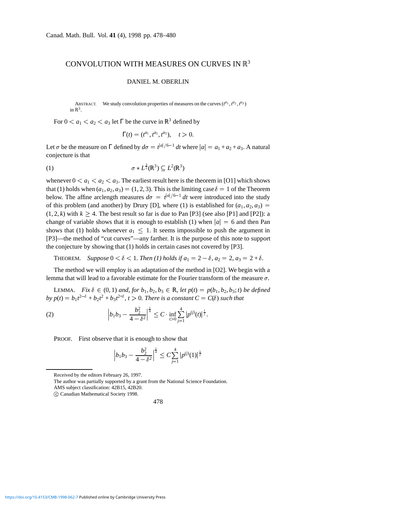## CONVOLUTION WITH MEASURES ON CURVES IN  $\mathbb{R}^3$

## DANIEL M. OBERLIN

ABSTRACT. We study convolution properties of measures on the curves  $(t^{a_1}, t^{a_2}, t^{a_3})$ in  $\mathbb{R}^3$ .

For  $0 < a_1 < a_2 < a_3$  let  $\Gamma$  be the curve in  $\mathbb{R}^3$  defined by

$$
\Gamma(t)=(t^{a_1},t^{a_2},t^{a_3}),\quad t>0.
$$

Let  $\sigma$  be the measure on  $\Gamma$  defined by  $d\sigma = t^{|a|/6-1} dt$  where  $|a| = a_1 + a_2 + a_3$ . A natural conjecture is that

$$
\sigma * L^{\frac{3}{2}}(\mathbb{R}^3) \subseteq L^2(\mathbb{R}^3)
$$

whenever  $0 < a_1 < a_2 < a_3$ . The earliest result here is the theorem in [O1] which shows that (1) holds when  $(a_1, a_2, a_3) = (1, 2, 3)$ . This is the limiting case  $\delta = 1$  of the Theorem below. The affine arclength measures  $d\sigma = t^{|a|/6-1} dt$  were introduced into the study of this problem (and another) by Drury [D], where (1) is established for  $(a_1, a_2, a_3)$  =  $(1, 2, k)$  with  $k \ge 4$ . The best result so far is due to Pan [P3] (see also [P1] and [P2]): a change of variable shows that it is enough to establish (1) when  $|a| = 6$  and then Pan shows that (1) holds whenever  $a_1 \leq 1$ . It seems impossible to push the argument in [P3]—the method of "cut curves"—any farther. It is the purpose of this note to support the conjecture by showing that (1) holds in certain cases not covered by [P3].

THEOREM. *Suppose*  $0 < \delta < 1$ *. Then* (1) holds if  $a_1 = 2 - \delta$ ,  $a_2 = 2$ ,  $a_3 = 2 + \delta$ .

The method we will employ is an adaptation of the method in [O2]. We begin with a lemma that will lead to a favorable estimate for the Fourier transform of the measure  $\sigma$ .

LEMMA. *Fix*  $\delta \in (0, 1)$  *and, for*  $b_1, b_2, b_3 \in \mathbb{R}$ *, let*  $p(t) = p(b_1, b_2, b_3; t)$  *be defined by*  $p(t) = b_1 t^{2-\delta} + b_2 t^2 + b_3 t^{2+\delta}, t > 0$ . There is a constant  $C = C(\delta)$  such that

(2) 
$$
\left|b_1b_3 - \frac{b_2^2}{4 - \delta^2}\right|^{\frac{1}{4}} \leq C \cdot \inf_{t > 0} \sum_{j=1}^4 |p^{(j)}(t)|^{\frac{1}{j}}.
$$

PROOF. First observe that it is enough to show that

$$
\left|b_1b_3 - \frac{b_2^2}{4 - \delta^2}\right|^{\frac{1}{4}} \leq C \sum_{j=1}^4 |p^{(j)}(1)|^{\frac{1}{j}}
$$

Received by the editors February 26, 1997.

The author was partially supported by a grant from the National Science Foundation.

c Canadian Mathematical Society 1998.

478

AMS subject classification: 42B15, 42B20.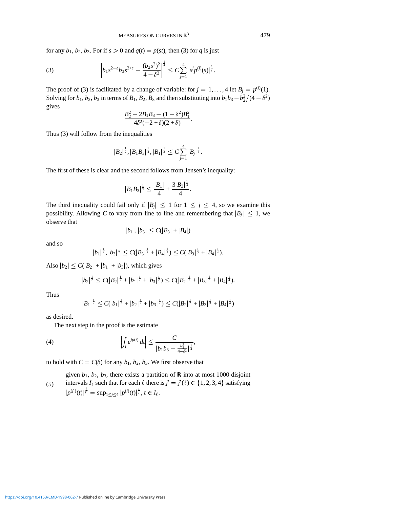for any  $b_1$ ,  $b_2$ ,  $b_3$ . For if  $s > 0$  and  $q(t) = p(st)$ , then (3) for *q* is just

(3) 
$$
\left|b_1s^{2-\epsilon}b_3s^{2+\epsilon}-\frac{(b_2s^2)^2}{4-\delta^2}\right|^{\frac{1}{4}}\leq C\sum_{j=1}^4|s^jp^{(j)}(s)|^{\frac{1}{j}}.
$$

The proof of (3) is facilitated by a change of variable: for  $j = 1, ..., 4$  let  $B_j = p^{(j)}(1)$ . Solving for  $b_1$ ,  $b_2$ ,  $b_3$  in terms of  $B_1$ ,  $B_2$ ,  $B_3$  and then substituting into  $b_1b_3 - b_2^2/(4 - \delta^2)$ gives

$$
\frac{B_2^2 - 2B_1B_3 - (1 - \delta^2)B_1^2}{4\delta^2(-2 + \delta)(2 + \delta)}.
$$

Thus (3) will follow from the inequalities

$$
|B_2|^{\frac{1}{2}},|B_1B_3|^{\frac{1}{4}},|B_1|^{\frac{1}{2}}\leq C\sum_{j=1}^4|B_j|^{\frac{1}{j}}.
$$

The first of these is clear and the second follows from Jensen's inequality:

$$
|B_1B_3|^{\frac{1}{4}} \leq \frac{|B_1|}{4} + \frac{3|B_3|^{\frac{1}{3}}}{4}.
$$

The third inequality could fail only if  $|B_j| \leq 1$  for  $1 \leq j \leq 4$ , so we examine this possibility. Allowing *C* to vary from line to line and remembering that  $|B_i| \leq 1$ , we observe that

$$
|b_1|, |b_3| \leq C(|B_3|+|B_4|)
$$

and so

$$
|b_1|^{\frac{1}{2}}, |b_3|^{\frac{1}{2}} \leq C(|B_3|^{\frac{1}{2}} + |B_4|^{\frac{1}{2}}) \leq C(|B_3|^{\frac{1}{3}} + |B_4|^{\frac{1}{4}}).
$$

Also  $|b_2| \leq C(|B_2| + |b_1| + |b_3|)$ , which gives

$$
|b_2|^{\frac{1}{2}} \leq C(|B_2|^{\frac{1}{2}} + |b_1|^{\frac{1}{2}} + |b_3|^{\frac{1}{2}}) \leq C(|B_2|^{\frac{1}{2}} + |B_3|^{\frac{1}{3}} + |B_4|^{\frac{1}{4}}).
$$

Thus

$$
|B_1|^{\frac{1}{2}} \leq C(|b_1|^{\frac{1}{2}} + |b_2|^{\frac{1}{2}} + |b_3|^{\frac{1}{2}}) \leq C(|B_2|^{\frac{1}{2}} + |B_3|^{\frac{1}{3}} + |B_4|^{\frac{1}{4}})
$$

as desired.

The next step in the proof is the estimate

(4) 
$$
\left| \int_{I} e^{ip(t)} dt \right| \leq \frac{C}{|b_1 b_3 - \frac{b_2^2}{4 - \delta^2}|^{\frac{1}{4}}},
$$

to hold with  $C = C(\delta)$  for any  $b_1, b_2, b_3$ . We first observe that

(5) given  $b_1$ ,  $b_2$ ,  $b_3$ , there exists a partition of  $\mathbb R$  into at most 1000 disjoint intervals  $I_\ell$  such that for each  $\ell$  there is  $j' = j'(\ell) \in \{1, 2, 3, 4\}$  satisfying  $|p^{(j')}(t)|^{\frac{1}{j'}} = \sup_{1 \leq j \leq 4} |p^{(j)}(t)|^{\frac{1}{j}}, t \in I_{\ell}.$